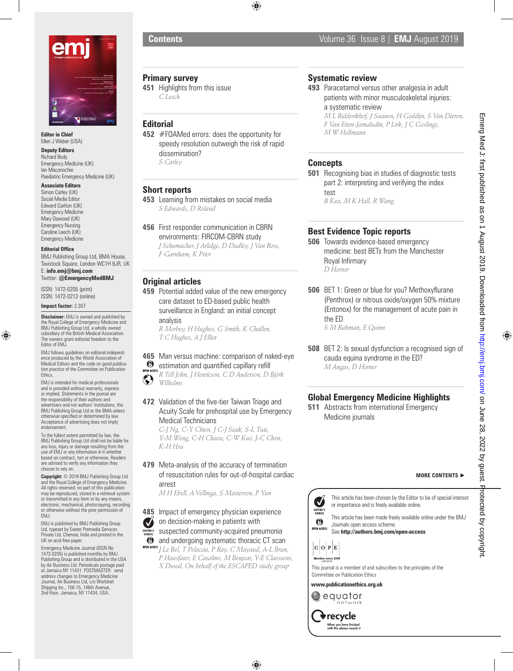

**Editor in Chief** Ellen J Weber (USA)

#### **Deputy Editors**

Richard Body Emergency Medicine (UK) Ian Maconochie Paediatric Emergency Medicine (UK)

#### **Associate Editors**

Simon Carley (UK) Social Media Editor Edward Carlton (UK) Emergency Medicine Mary Dawood (UK) Emergency Nursing Caroline Leech (UK) Emergency Medicine

#### **Editorial Office**

BMJ Publishing Group Ltd, BMA House, Tavistock Square, London WC1H 9JR, UK E: **info.emj@bmj.com** Twitter: **@EmergencyMedBMJ**

ISSN: 1472-0205 (print) ISSN: 1472-0213 (online)

#### **Impact factor:** 2.307

**Disclaimer:** EMJ is owned and published by the Royal College of Emergency Medicine and BMJ Publishing Group Ltd, a wholly owned subsidiary of the British Medical Association. The owners grant editorial freedom to the Editor of EMJ.

EMJ follows guidelines on editorial independence produced by the World Association of Medical Editors and the code on good publication practice of the Committee on Publication Ethics.

EMJ is intended for medical professionals and is provided without warranty, express or implied. Statements in the journal are the responsibility of their authors and advertisers and not authors' institutions, the BMJ Publishing Group Ltd or the BMA unless otherwise specified or determined by law. Acceptance of advertising does not imply endorsement.

To the fullest extent permitted by law, the BMJ Publishing Group Ltd shall not be liable for any loss, injury or damage resulting from the use of EMJ or any information in it whether based on contract, tort or otherwise. Readers are advised to verify any information they choose to rely on.

**Copyright:** © 2019 BMJ Publishing Group Ltd and the Royal College of Emergency Medicine. All rights reserved; no part of this publication may be reproduced, stored in a retrieval system or transmitted in any form or by any means, electronic, mechanical, photocopying, recording or otherwise without the prior permission of EMJ.

EMJ is published by BMJ Publishing Group Ltd, typeset by Exeter Premedia Services Private Ltd, Chennai, India and printed in the UK on acid-free paper.

Emergency Medicine Journal (ISSN No 1472-0205) is published monthly by BMJ Publishing Group and is distributed in the USA by Air Business Ltd. Periodicals postage paid at Jamaica NY 11431. POSTMASTER: send address changes to Emergency Medicine Journal, Air Business Ltd, c/o Worldnet Shipping Inc., 156-15, 146th Avenue, 2nd Floor, Jamaica, NY 11434, USA.

## **Primary survey**

**451** Highlights from this issue *C Leech*

## **Editorial**

**452** #FOAMed errors: does the opportunity for speedy resolution outweigh the risk of rapid dissemination? *S Carley*

## **Short reports**

**453** Learning from mistakes on social media *S Edwards, D Roland*

**456** First responder communication in CBRN environments: FIRCOM-CBRN study *J Schumacher, J Arlidge, D Dudley, J Van Ross, F Garnham, K Prior*

## **Original articles**

**459** Potential added value of the new emergency care dataset to ED-based public health surveillance in England: an initial concept analysis

*R Morbey, H Hughes, G Smith, K Challen, T C Hughes, A J Elliot*

### **465** Man versus machine: comparison of naked-eye <sup>6</sup> estimation and quantified capillary refill

OPEN ACCESS *R Toll John, J Henricson, C D Anderson, D Björk*   $\left( \bullet \right)$ *Wilhelms*

## **472** Validation of the five-tier Taiwan Triage and Acuity Scale for prehospital use by Emergency Medical Technicians

*C-J Ng, C-Y Chien, J C-J Seak, S-L Tsai, Y-M Weng, C-H Chaou, C-W Kuo, J-C Chen, K-H Hsu*

**479** Meta-analysis of the accuracy of termination of resuscitation rules for out-of-hospital cardiac arrest

*M H Ebell, A Vellinga, S Masterson, P Yun*

#### **485** Impact of emergency physician experience Ø on decision-making in patients with

- EDITOR'S SUSPECTED community-acquired pneumonia
- $\odot$  and undergoing systematic thoracic CT scan
- *J Le Bel, T Pelaccia, P Ray, C Mayaud, A-L Brun, P Hausfater, E Casalino, M Benjoar, Y-E Claessens, X Duval, On behalf of the ESCAPED study group*

## **Systematic review**

**493** Paracetamol versus other analgesia in adult patients with minor musculoskeletal injuries: a systematic review

*M L Ridderikhof, J Saanen, H Goddijn, S Van Dieren, F Van Etten-Jamaludin, P Lirk, J C Goslings, M W Hollmann*

## **Concepts**

**501** Recognising bias in studies of diagnostic tests part 2: interpreting and verifying the index test *B Kea, M K Hall, R Wang*

**Best Evidence Topic reports**

- **506** Towards evidence-based emergency medicine: best BETs from the Manchester Royal Infirmary *D Horner*
- **506** BET 1: Green or blue for you? Methoxyflurane (Penthrox) or nitrous oxide/oxygen 50% mixture (Entonox) for the management of acute pain in the ED

*S M Rahman, E Quinn*

**508** BET 2: Is sexual dysfunction a recognised sign of cauda equina syndrome in the ED? *M Angus, D Horner*

# **Global Emergency Medicine Highlights**

**511** Abstracts from international Emergency Medicine journals

#### **MORE CONTENTS** ►



See **http://authors.bmj.com/open-access**

 $|C|O|P|E$ Member since 2008

This journal is a member of and subscribes to the principles of the Committee on Publication Ethics

#### **www.publicationethics.org.uk**



 $\blacktriangleright$  recycle When you have finished<br>with this please recycle it Emerg Med J: first published as on 1 August 2019. Downloaded from http://emj.com/ on June 28, 2022 by guest. Emerg Med J: first published as on 1 August 2019. Downloaded from <http://emj.bmj.com/> on June 28, 2022 by guest. Protected by copyright. Protected by copyright